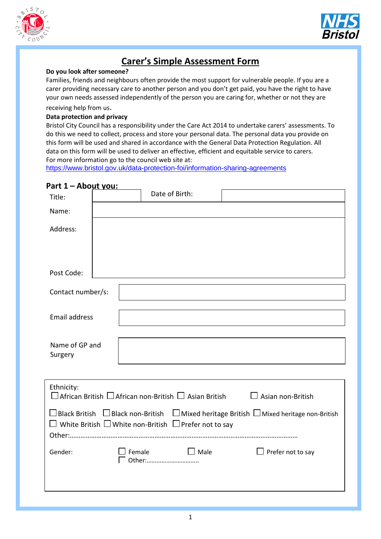



### **Carer's Simple Assessment Form**

#### **Do you look after someone?**

Families, friends and neighbours often provide the most support for vulnerable people. If you are a carer providing necessary care to another person and you don't get paid, you have the right to have your own needs assessed independently of the person you are caring for, whether or not they are

receiving help from us.

#### **Data protection and privacy**

Bristol City Council has a responsibility under the Care Act 2014 to undertake carers' assessments. To do this we need to collect, process and store your personal data. The personal data you provide on this form will be used and shared in accordance with the General Data Protection Regulation. All data on this form will be used to deliver an effective, efficient and equitable service to carers. For more information go to the council web site at:

<https://www.bristol.gov.uk/data-protection-foi/information-sharing-agreements>

| <u>Part I – About you:</u> | Date of Birth: |                         |                                                                                                                                                                                                                                                                                                                                       |
|----------------------------|----------------|-------------------------|---------------------------------------------------------------------------------------------------------------------------------------------------------------------------------------------------------------------------------------------------------------------------------------------------------------------------------------|
|                            |                |                         |                                                                                                                                                                                                                                                                                                                                       |
|                            |                |                         |                                                                                                                                                                                                                                                                                                                                       |
|                            |                |                         |                                                                                                                                                                                                                                                                                                                                       |
| Contact number/s:          |                |                         |                                                                                                                                                                                                                                                                                                                                       |
| <b>Email address</b>       |                |                         |                                                                                                                                                                                                                                                                                                                                       |
| Name of GP and             |                |                         |                                                                                                                                                                                                                                                                                                                                       |
|                            |                |                         |                                                                                                                                                                                                                                                                                                                                       |
|                            |                |                         |                                                                                                                                                                                                                                                                                                                                       |
|                            |                |                         |                                                                                                                                                                                                                                                                                                                                       |
|                            |                | $\Box$ Female<br>Other: | $\Box$ African British $\Box$ African non-British $\Box$ Asian British<br>$\Box$ Asian non-British<br>□ Black British $\Box$ Black non-British $\Box$ Mixed heritage British $\Box$ Mixed heritage non-British<br>$\Box$ White British $\Box$ White non-British $\ \Box$ Prefer not to say<br>$\Box$ Male<br>$\Box$ Prefer not to say |

### **Part 1 – About you:**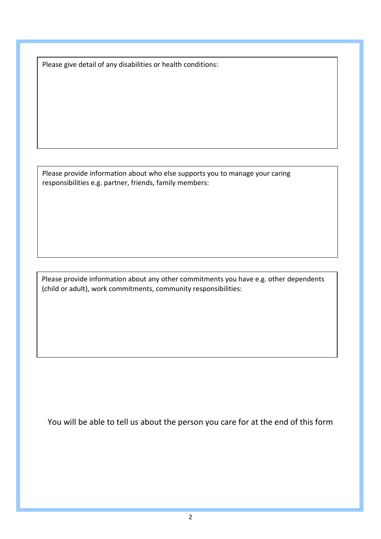Please give detail of any disabilities or health conditions:

Please provide information about who else supports you to manage your caring responsibilities e.g. partner, friends, family members:

Please provide information about any other commitments you have e.g. other dependents (child or adult), work commitments, community responsibilities:

You will be able to tell us about the person you care for at the end of this form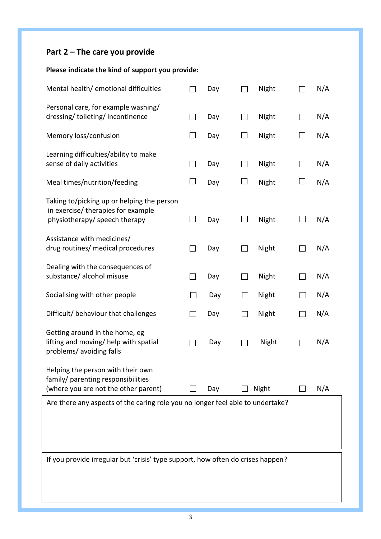# **Part 2 – The care you provide**

### **Please indicate the kind of support you provide:**

| Mental health/ emotional difficulties                                                                             |                | Day |        | Night |                          | N/A |
|-------------------------------------------------------------------------------------------------------------------|----------------|-----|--------|-------|--------------------------|-----|
| Personal care, for example washing/<br>dressing/toileting/incontinence                                            | ΙI             | Day |        | Night | $\vert \ \ \vert$        | N/A |
| Memory loss/confusion                                                                                             |                | Day |        | Night |                          | N/A |
| Learning difficulties/ability to make<br>sense of daily activities                                                | $\Box$         | Day |        | Night | $\mathsf{L}$             | N/A |
| Meal times/nutrition/feeding                                                                                      |                | Day |        | Night |                          | N/A |
| Taking to/picking up or helping the person<br>in exercise/ therapies for example<br>physiotherapy/ speech therapy |                | Day |        | Night |                          | N/A |
| Assistance with medicines/<br>drug routines/ medical procedures                                                   | $\blacksquare$ | Day |        | Night | $\mathsf{L}$             | N/A |
| Dealing with the consequences of<br>substance/ alcohol misuse                                                     |                | Day |        | Night |                          | N/A |
| Socialising with other people                                                                                     | $\mathsf{L}$   | Day | $\sim$ | Night | $\mathbf{L}$             | N/A |
| Difficult/ behaviour that challenges                                                                              | $\mathbf{I}$   | Day |        | Night | $\overline{\phantom{a}}$ | N/A |
| Getting around in the home, eg<br>lifting and moving/ help with spatial<br>problems/ avoiding falls               |                | Day |        | Night |                          | N/A |
| Helping the person with their own<br>family/ parenting responsibilities<br>(where you are not the other parent)   |                | Day |        | Night |                          | N/A |
| Are there any aspects of the caring role you no longer feel able to undertake?                                    |                |     |        |       |                          |     |
|                                                                                                                   |                |     |        |       |                          |     |
| If you provide irregular but 'crisis' type support, how often do crises happen?                                   |                |     |        |       |                          |     |
|                                                                                                                   |                |     |        |       |                          |     |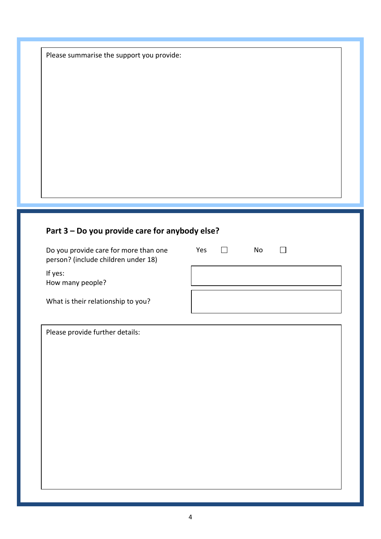Please summarise the support you provide:

## **Part 3 – Do you provide care for anybody else?**

| Do you provide care for more than one<br>person? (include children under 18) | Yes | No |  |
|------------------------------------------------------------------------------|-----|----|--|
| If yes:<br>How many people?                                                  |     |    |  |
| What is their relationship to you?                                           |     |    |  |

Please provide further details: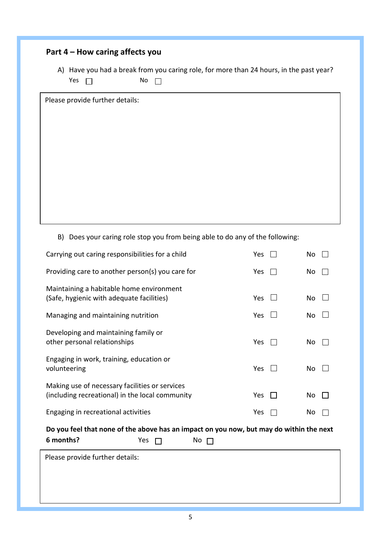| Part 4 – How caring affects you |  |  |  |
|---------------------------------|--|--|--|
|---------------------------------|--|--|--|

A) Have you had a break from you caring role, for more than 24 hours, in the past year? Yes  $\Box$  No  $\Box$ 

Please provide further details:

B) Does your caring role stop you from being able to do any of the following:

| Carrying out caring responsibilities for a child                                                  |     |    | Yes | <b>No</b> |  |
|---------------------------------------------------------------------------------------------------|-----|----|-----|-----------|--|
| Providing care to another person(s) you care for                                                  |     |    | Yes | No        |  |
| Maintaining a habitable home environment<br>(Safe, hygienic with adequate facilities)             |     |    | Yes | No        |  |
| Managing and maintaining nutrition                                                                |     |    | Yes | <b>No</b> |  |
| Developing and maintaining family or<br>other personal relationships                              |     |    | Yes | No        |  |
| Engaging in work, training, education or<br>volunteering                                          |     |    | Yes | No        |  |
| Making use of necessary facilities or services<br>(including recreational) in the local community |     |    | Yes | No        |  |
| Engaging in recreational activities                                                               |     |    | Yes | No        |  |
| Do you feel that none of the above has an impact on you now, but may do within the next           |     |    |     |           |  |
| 6 months?                                                                                         | Yes | No |     |           |  |
| Please provide further details:                                                                   |     |    |     |           |  |
|                                                                                                   |     |    |     |           |  |
|                                                                                                   |     |    |     |           |  |
|                                                                                                   |     |    |     |           |  |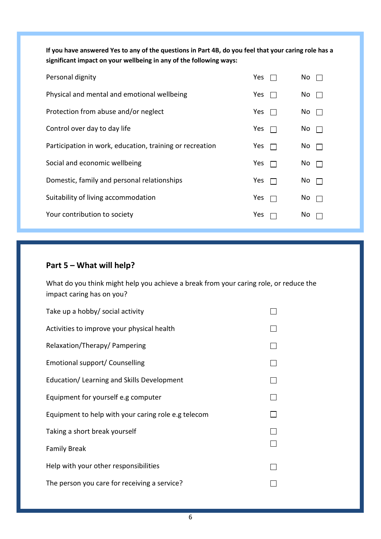**If you have answered Yes to any of the questions in Part 4B, do you feel that your caring role has a significant impact on your wellbeing in any of the following ways:**

| Personal dignity                                         | Yes | No. |
|----------------------------------------------------------|-----|-----|
| Physical and mental and emotional wellbeing              | Yes | No. |
| Protection from abuse and/or neglect                     | Yes | No. |
| Control over day to day life                             | Yes | No. |
| Participation in work, education, training or recreation | Yes | No  |
| Social and economic wellbeing                            | Yes | No. |
| Domestic, family and personal relationships              | Yes | No. |
| Suitability of living accommodation                      | Yes | No. |
| Your contribution to society                             | Yes | No. |

#### **Part 5 – What will help?**

What do you think might help you achieve a break from your caring role, or reduce the impact caring has on you?

| Take up a hobby/ social activity                    |  |
|-----------------------------------------------------|--|
| Activities to improve your physical health          |  |
| Relaxation/Therapy/ Pampering                       |  |
| Emotional support/ Counselling                      |  |
| Education/Learning and Skills Development           |  |
| Equipment for yourself e.g computer                 |  |
| Equipment to help with your caring role e.g telecom |  |
| Taking a short break yourself                       |  |
| <b>Family Break</b>                                 |  |
| Help with your other responsibilities               |  |
| The person you care for receiving a service?        |  |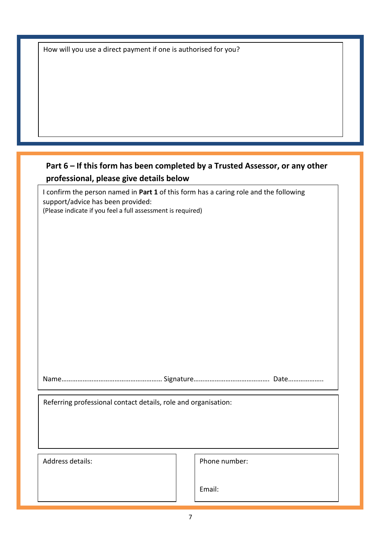|  |  |  | How will you use a direct payment if one is authorised for you? |  |  |
|--|--|--|-----------------------------------------------------------------|--|--|
|--|--|--|-----------------------------------------------------------------|--|--|

### **Part 6 – If this form has been completed by a Trusted Assessor, or any other professional, please give details below**

I confirm the person named in **Part 1** of this form has a caring role and the following support/advice has been provided: (Please indicate if you feel a full assessment is required)

Name………………………………………………… Signature……………………………………. Date………………..

Referring professional contact details, role and organisation:

Address details: Address details: Phone number:

Email: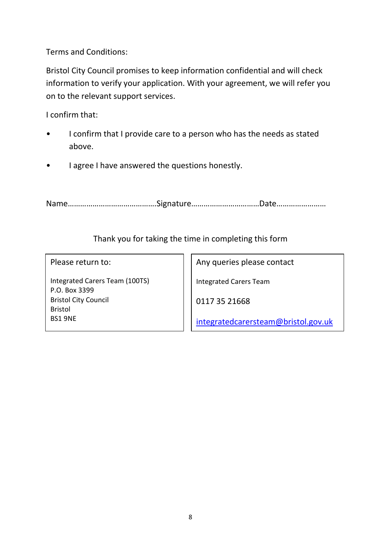Terms and Conditions:

Bristol City Council promises to keep information confidential and will check information to verify your application. With your agreement, we will refer you on to the relevant support services.

I confirm that:

- I confirm that I provide care to a person who has the needs as stated above.
- I agree I have answered the questions honestly.

Name…………………………………….Signature……………………………Date……………………

### Thank you for taking the time in completing this form

Please return to:

Integrated Carers Team (100TS) P.O. Box 3399 Bristol City Council Bristol BS1 9NE

Any queries please contact

Integrated Carers Team

0117 35 21668

[integratedcarersteam@bristol.gov.uk](mailto:integratedcarersteam@bristol.gov.uk)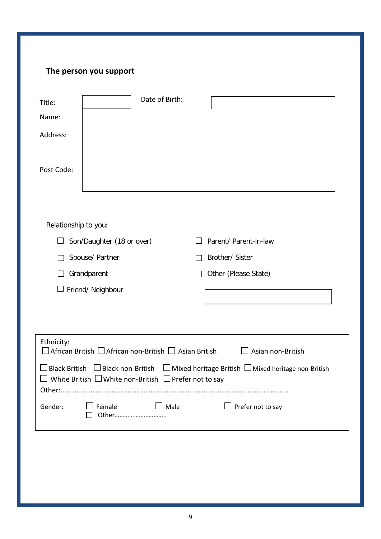### **The person you support**

| Title:               | Date of Birth:                                                                  |                                                                                                               |
|----------------------|---------------------------------------------------------------------------------|---------------------------------------------------------------------------------------------------------------|
| Name:                |                                                                                 |                                                                                                               |
| Address:             |                                                                                 |                                                                                                               |
| Post Code:           |                                                                                 |                                                                                                               |
|                      |                                                                                 |                                                                                                               |
| Relationship to you: |                                                                                 |                                                                                                               |
|                      | Son/Daughter (18 or over)                                                       | Parent/ Parent-in-law                                                                                         |
|                      | Spouse/ Partner                                                                 | Brother/ Sister                                                                                               |
|                      | Grandparent                                                                     | Other (Please State)                                                                                          |
|                      | Friend/ Neighbour                                                               |                                                                                                               |
|                      |                                                                                 |                                                                                                               |
|                      |                                                                                 |                                                                                                               |
| Ethnicity:           | $\square$ African British $\square$ African non-British $\square$ Asian British | $\Box$ Asian non-British                                                                                      |
|                      | $\Box$ White British $\Box$ White non-British $\Box$ Prefer not to say          | $\Box$ Black British $\Box$ Black non-British $\Box$ Mixed heritage British $\Box$ Mixed heritage non-British |
| Gender:              | $\Box$ Male<br>$\Box$ Female<br>Other                                           | $\Box$ Prefer not to say                                                                                      |
|                      |                                                                                 |                                                                                                               |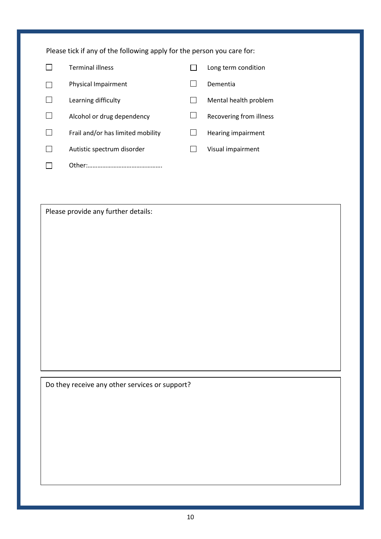| Please tick if any of the following apply for the person you care for: |                                   |  |                         |  |
|------------------------------------------------------------------------|-----------------------------------|--|-------------------------|--|
|                                                                        | <b>Terminal illness</b>           |  | Long term condition     |  |
|                                                                        | Physical Impairment               |  | Dementia                |  |
|                                                                        | Learning difficulty               |  | Mental health problem   |  |
|                                                                        | Alcohol or drug dependency        |  | Recovering from illness |  |
|                                                                        | Frail and/or has limited mobility |  | Hearing impairment      |  |
|                                                                        | Autistic spectrum disorder        |  | Visual impairment       |  |
|                                                                        | Other:                            |  |                         |  |

Please provide any further details:

Do they receive any other services or support?